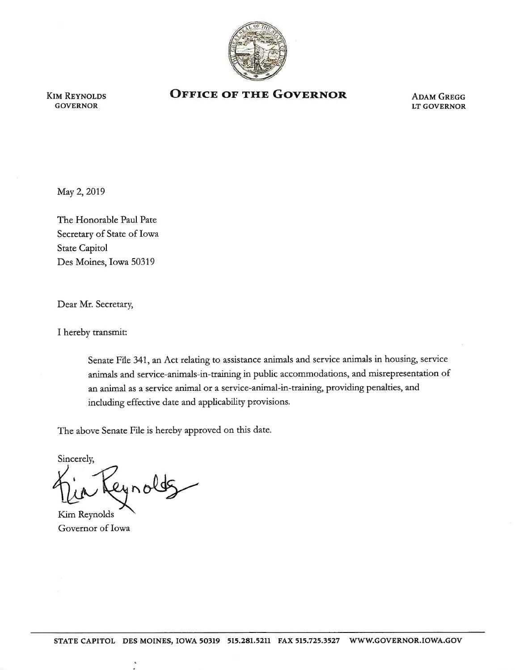

KIM REYNOLDS GOVERNOR

## **OFFICE OF THE GOVERNOR** ADAM GREGG

LT GOVERNOR

May 2, 2019

The Honorable Paul Pate Secretary of State of Iowa State Capitol Des Moines, Iowa 50319

Dear Mr. Secretary,

I hereby transmit:

Senate File 341, an Act relating to assistance animals and service animals in housing, service animals and service-animals-in-training in public accommodations, and misrepresentation of an animal as a service animal or a service-animal-in-training, providing penalties, and including effective date and applicability provisions.

The above Senate File is hereby approved on this date.

Sincerely, eyrolds

Kim Reynolds Governor of Iowa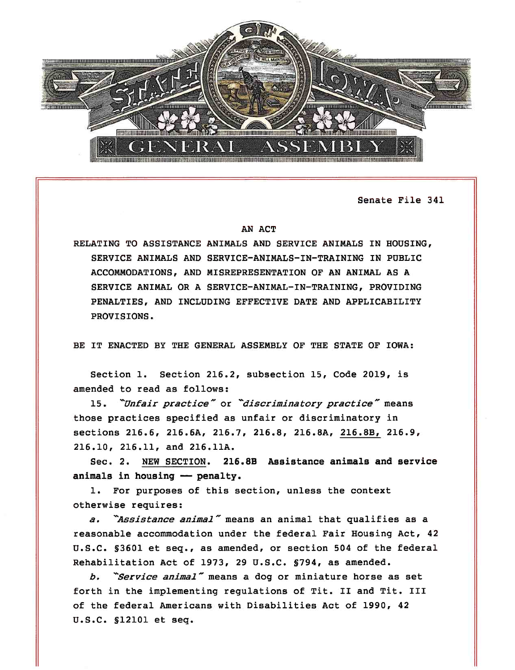

Senate File 341

## AN ACT

RELATING TO ASSISTANCE ANIMALS AND SERVICE ANIMALS IN HOUSING, SERVICE ANIMALS AND SERVICE-ANIMALS-IN-TRAINING IN PUBLIC ACCOMMODATIONS, AND MISREPRESENTATION OF AN ANIMAL AS A SERVICE ANIMAL OR A SERVICE-ANIMAL-IN-TRAINING, PROVIDING PENALTIES, AND INCLUDING EFFECTIVE DATE AND APPLICABILITY PROVISIONS.

BE IT ENACTED BY THE GENERAL ASSEMBLY OF THE STATE OF IOWA:

Section 1. Section 216.2, subsection 15, Code 2019, is amended to read as follows:

15. "Unfair practice" or "discriminatory practice" means those practices specified as unfair or discriminatory in sections 216.6, 216.6A, 216.7, 216.8, 216.SA, 216.SB, 216.9, 216.10, 216.11, and 216.llA.

Sec. 2. NEW SECTION. 216.BB Assistance animals and service animals in housing - penalty.

1. For purposes of this section, unless the context otherwise requires:

a. "Assistance animal" means an animal that qualifies as a reasonable accommodation under the federal Fair Housing Act, 42 u.s.c. §3601 et seq., as amended, or section 504 of the federal Rehabilitation Act of 1973, 29 u.s.c. §794, as amended.

b. "Service animal" means a dog or miniature horse as set forth in the implementing regulations of Tit. II and Tit. III of the federal Americans with Disabilities Act of 1990, 42 u.s.c. §12101 et seq.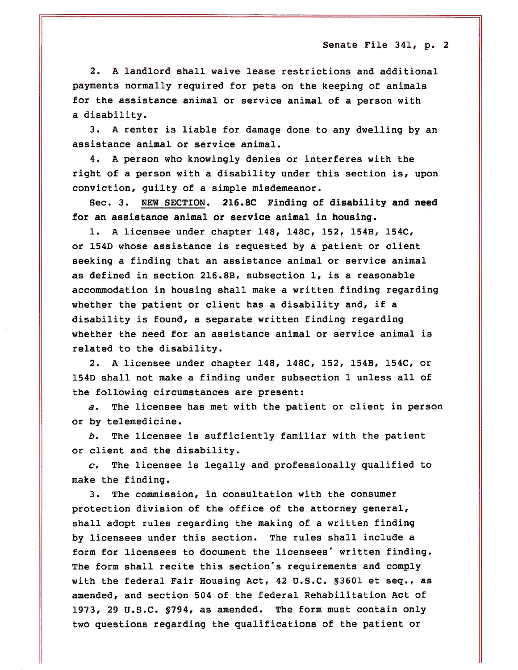2. A landlord shall waive lease restrictions and additional payments normally required for pets on the keeping of animals for the assistance animal or service animal of a person with a disability.

3. A renter *is* liable for damage done to any dwelling by an assistance animal or service animal.

4. A person who knowingly denies or interferes with the right of a person with a disability under this section *is,* upon conviction, guilty of a simple misdemeanor.

Sec. 3. NEW SECTION. 216.SC Finding of disability and need for an assistance animal or service animal in housing.

1. A licensee under chapter 148, 148C, 152, 154B, 154C, or 1540 whose assistance is requested by a patient or client seeking a finding that an assistance animal or service animal as defined in section 216.8B, subsection 1, is a reasonable accommodation in housing shall make a written finding regarding whether the patient or client has a disability and, if a disability is found, a separate written finding regarding whether the need for an assistance animal or service animal *is*  related to the disability.

2. A licensee under chapter 148, 148C, 152, 154B, 154C, or 1540 shall not make a finding under subsection 1 unless all of the following circumstances are present:

*a.* The licensee has met with the patient or client in person or by telemedicine.

*b.* The licensee is sufficiently familiar with the patient or client and the disability.

*c.* The licensee is legally and professionally qualified to make the finding.

3. The commission, *in* consultation with the consumer protection division of the office of the attorney general, shall adopt rules regarding the making of a written finding by licensees under this section. The rules shall include a form for licensees to document the licensees' written finding . The form shall recite this section's requirements and comply with the federal Fair Housing Act, 42 u.s.c. §3601 et seq., as amended, and section 504 of the federal Rehabilitation Act of 1973, 29 u.s.c. §794, as amended. The form must contain only two questions regarding the qualifications of the patient or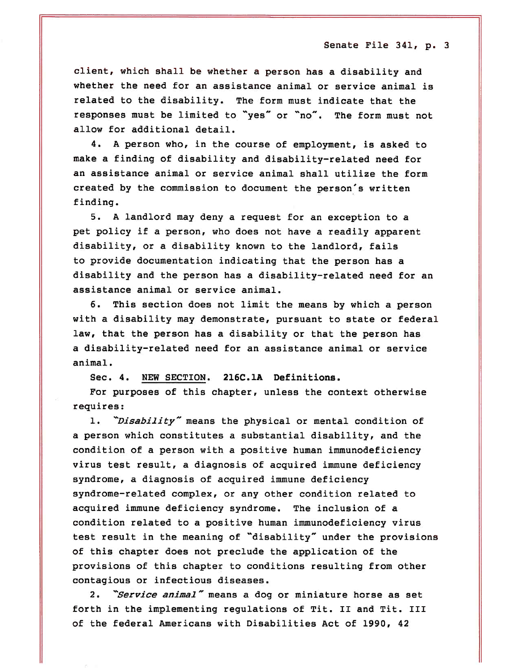client, which shall be whether <sup>a</sup>person has a disability and whether the need for an assistance animal or service animal is related to the disability. The form must indicate that the responses must be limited to "yes" or "no". The form must not allow for additional detail.

4. A person who, in the course of employment, is asked to make a finding of disability and disability-related need for an assistance animal or service animal shall utilize the form created by the commission to document the person's written finding.

5. A landlord may deny a request for an exception to <sup>a</sup> pet policy if <sup>a</sup>person, who does not have a readily apparent disability, or a disability known to the landlord, fails to provide documentation indicating that the person has <sup>a</sup> disability and the person has a disability-related need for an assistance animal or service animal.

6. This section does not limit the means by which a person with a disability may demonstrate, pursuant to state or federal law, that the person has a disability or that the person has <sup>a</sup>disability-related need for an assistance animal or service animal.

Sec. 4. NEW SECTION. 216C.1A Definitions.

For purposes of this chapter, unless the context otherwise requires:

1. "Disability" means the physical or mental condition of <sup>a</sup>person which constitutes a substantial disability, and the condition of <sup>a</sup>person with <sup>a</sup>positive human immunodeficiency virus test result, a diagnosis of acquired immune deficiency syndrome, a diagnosis of acquired immune deficiency syndrome-related complex, or any other condition related to acquired immune deficiency syndrome. The inclusion of <sup>a</sup> condition related to <sup>a</sup>positive human immunodeficiency virus test result in the meaning of "disability" under the provisions of this chapter does not preclude the application of the provisions of this chapter to conditions resulting from other contagious or infectious diseases.

2. "Service animal" means a dog or miniature horse as set forth in the implementing regulations of Tit. II and Tit. III of the federal Americans with Disabilities Act of 1990, 42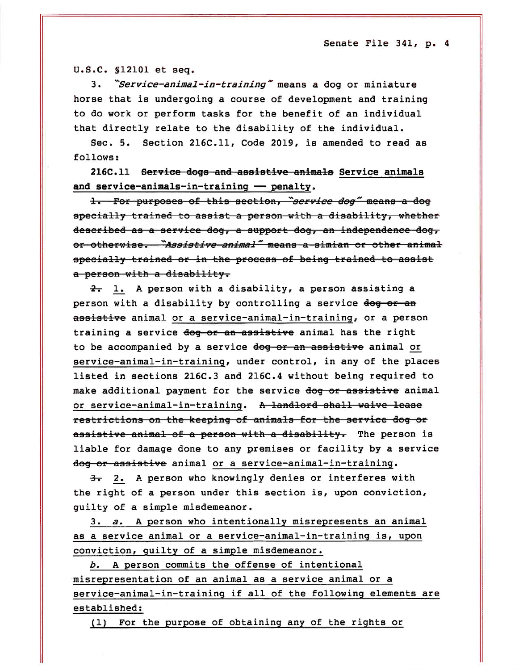u.s.c. §12101 et seq .

3. "Service-animal-in-training" means a dog or miniature horse that is undergoing a course of development and training to do work or perform tasks for the benefit of an individual that directly relate to the disability of the individual.

Sec. 5. Section 216C.ll, Code 2019, is amended to read as follows:

216C.ll Serviee dogs and assietive animals Service animals and service-animals-in-training - penalty.

1. For purposes of this section, "service dog" means a dog specially trained to assist a person with a disability, whether described as a service dog, a support dog, an independence dog, or otherwise. *"Assistive animal"* means a simian or other animal specially trained or in the process of being trained to assist a person with a disability.

 $2 - 1$ . A person with a disability, a person assisting a person with a disability by controlling a service dog or an assistive animal or a service-animal-in-training, or a person training a service dog or an assistive animal has the right to be accompanied by a service dog or an assistive animal or service-animal-in-training, under control, in any of the places listed in sections 216C.3 and 216C.4 without being required to make additional payment for the service dog or assistive animal or service-animal-in-training. A landlord shall waive lease restrictions on the keeping of animals for the service dog or assistive animal of a person with a disability. The person is liable for damage done to any premises or facility by a service dog or assistive animal or a service-animal-in-training.

3. 2. A person who knowingly denies or interferes with the right of a person under this section is, upon conviction, guilty of a simple misdemeanor.

3. *a.* A person who intentionally misrepresents an animal as a service animal or a service-animal-in-training is, upon conviction, guilty of a simple misdemeanor.

*b.* A person commits the offense of intentional misrepresentation of an animal as a service animal or a service-animal-in-training if all of the following elements are established:

(1) For the purpose of obtaining any of the rights or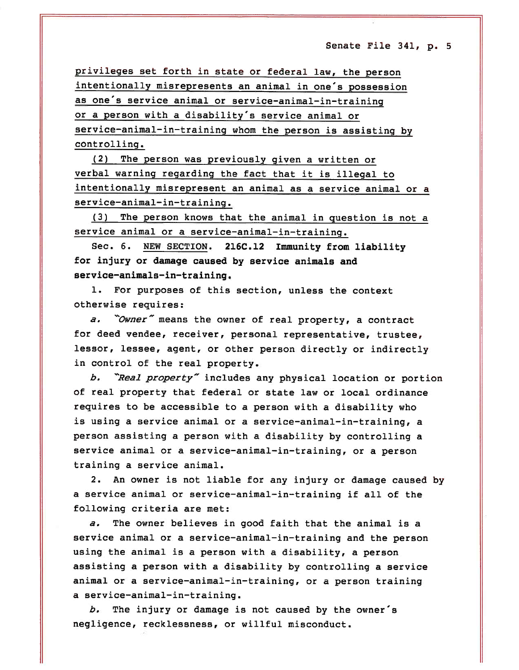privileges set forth in state or federal law, the person intentionally misrepresents an animal *in* one's possession as one's service animal or service-animal-in-training or <sup>a</sup>person with a disability's service animal or service-animal-in-training whom the person *is* assisting by controlling.

(2) The person was previously given a written or verbal warning regarding the fact that it *is* illegal to intentionally misrepresent an animal as a service animal or a service-animal-in-training.

(3) The person knows that the animal *in* question *is* not <sup>a</sup> service animal or a service-animal-in-training.

Sec. 6. NEW SECTION. 216C.12 Immunity from liability for injury or damage caused by service animals and service-animals-in-training.

1. For purposes of this section, unless the context otherwise requires:

a. "Owner" means the owner of real property, a contract for deed vendee, receiver, personal representative, trustee , lessor, lessee, agent, or other person directly or indirectly in control of the real property.

*b. -Real property-* includes any physical location or portion of real property that federal or state law or local ordinance requires to be accessible to <sup>a</sup>person with a disability who is using a service animal or a service-animal-in-training, <sup>a</sup> person assisting a person with a disability by controlling a service animal or a service-animal-in-training, or a person training a service animal.

2. An owner is not liable for any injury or damage caused by <sup>a</sup>service animal or service-animal-in-training if all of the following criteria are met:

*a.* The owner believes in good faith that the animal *is* <sup>a</sup> service animal or a service-animal-in-training and the person using the animal is a person with a disability, a person assisting <sup>a</sup>person with a disability by controlling a service animal or a service-animal-in-training, or a person training a service-animal-in-training.

*b.* The injury or damage is not caused by the owner's negligence, recklessness, or willful misconduct.